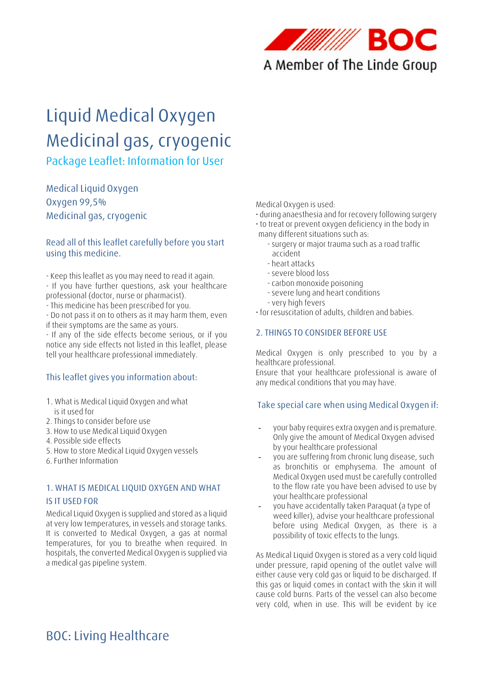

# Liquid Medical Oxygen Medicinal gas, cryogenic

### Package Leaflet: Information for User

Medical Liquid Oxygen Oxygen 99,5% Medicinal gas, cryogenic

### Read all of this leaflet carefully before you start using this medicine.

- Keep this leaflet as you may need to read it again.

- If you have further questions, ask your healthcare professional (doctor, nurse or pharmacist).

- This medicine has been prescribed for you.

- Do not pass it on to others as it may harm them, even if their symptoms are the same as yours.

- If any of the side effects become serious, or if you notice any side effects not listed in this leaflet, please tell your healthcare professional immediately.

### This leaflet gives you information about:

- 1. What is Medical Liquid Oxygen and what is it used for
- 2. Things to consider before use
- 3. How to use Medical Liquid Oxygen
- 4. Possible side effects
- 5. How to store Medical Liquid Oxygen vessels
- 6. Further Information

## 1. WHAT IS MEDICAL LIQUID OXYGEN AND WHAT

### IS IT USED FOR

Medical Liquid Oxygen is supplied and stored as a liquid at very low temperatures, in vessels and storage tanks. It is converted to Medical Oxygen, a gas at normal temperatures, for you to breathe when required. In hospitals, the converted Medical Oxygen is supplied via a medical gas pipeline system.

Medical Oxygen is used:

- during anaesthesia and for recovery following surgery
- to treat or prevent oxygen deficiency in the body in many different situations such as:
	- surgery or major trauma such as a road traffic accident
	- heart attacks
	- severe blood loss
	- carbon monoxide poisoning
	- severe lung and heart conditions
	- very high fevers

• for resuscitation of adults, children and babies.

### 2. THINGS TO CONSIDER BEFORE USE

Medical Oxygen is only prescribed to you by a healthcare professional.

Ensure that your healthcare professional is aware of any medical conditions that you may have.

### Take special care when using Medical Oxygen if:

- your baby requires extra oxygen and is premature. Only give the amount of Medical Oxygen advised by your healthcare professional
- you are suffering from chronic lung disease, such as bronchitis or emphysema. The amount of Medical Oxygen used must be carefully controlled to the flow rate you have been advised to use by your healthcare professional
- you have accidentally taken Paraquat (a type of weed killer), advise your healthcare professional before using Medical Oxygen, as there is a possibility of toxic effects to the lungs.

As Medical Liquid Oxygen is stored as a very cold liquid under pressure, rapid opening of the outlet valve will either cause very cold gas or liquid to be discharged. If this gas or liquid comes in contact with the skin it will cause cold burns. Parts of the vessel can also become very cold, when in use. This will be evident by ice

# BOC: Living Healthcare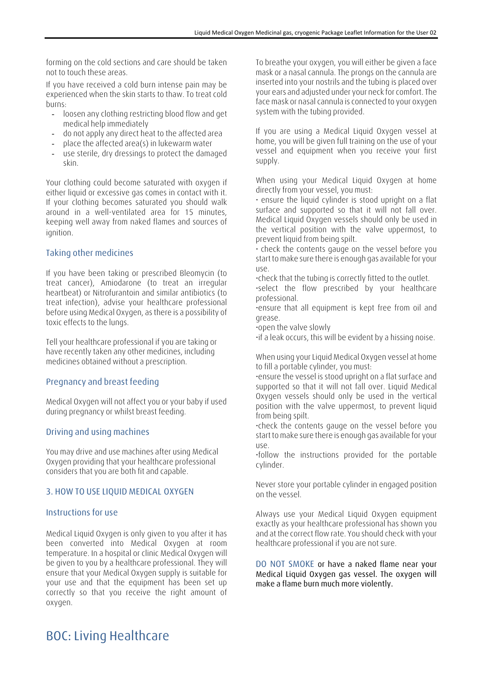forming on the cold sections and care should be taken not to touch these areas.

If you have received a cold burn intense pain may be experienced when the skin starts to thaw. To treat cold burns:

- loosen any clothing restricting blood flow and get medical help immediately
- do not apply any direct heat to the affected area
- place the affected area(s) in lukewarm water
- use sterile, dry dressings to protect the damaged skin.

Your clothing could become saturated with oxygen if either liquid or excessive gas comes in contact with it. If your clothing becomes saturated you should walk around in a well-ventilated area for 15 minutes, keeping well away from naked flames and sources of ignition.

### Taking other medicines

If you have been taking or prescribed Bleomycin (to treat cancer), Amiodarone (to treat an irregular heartbeat) or Nitrofurantoin and similar antibiotics (to treat infection), advise your healthcare professional before using Medical Oxygen, as there is a possibility of toxic effects to the lungs.

Tell your healthcare professional if you are taking or have recently taken any other medicines, including medicines obtained without a prescription.

### Pregnancy and breast feeding

Medical Oxygen will not affect you or your baby if used during pregnancy or whilst breast feeding.

### Driving and using machines

You may drive and use machines after using Medical Oxygen providing that your healthcare professional considers that you are both fit and capable.

### 3. HOW TO USE LIQUID MEDICAL OXYGEN

### Instructions for use

Medical Liquid Oxygen is only given to you after it has been converted into Medical Oxygen at room temperature. In a hospital or clinic Medical Oxygen will be given to you by a healthcare professional. They will ensure that your Medical Oxygen supply is suitable for your use and that the equipment has been set up correctly so that you receive the right amount of oxygen.

To breathe your oxygen, you will either be given a face mask or a nasal cannula. The prongs on the cannula are inserted into your nostrils and the tubing is placed over your ears and adjusted under your neck for comfort. The face mask or nasal cannula is connected to your oxygen system with the tubing provided.

If you are using a Medical Liquid Oxygen vessel at home, you will be given full training on the use of your vessel and equipment when you receive your first supply.

When using your Medical Liquid Oxygen at home directly from your vessel, you must:

• ensure the liquid cylinder is stood upright on a flat surface and supported so that it will not fall over. Medical Liquid Oxygen vessels should only be used in the vertical position with the valve uppermost, to prevent liquid from being spilt.

• check the contents gauge on the vessel before you start to make sure there is enough gas available for your use.

•check that the tubing is correctly fitted to the outlet.

•select the flow prescribed by your healthcare professional.

•ensure that all equipment is kept free from oil and grease.

•open the valve slowly

•if a leak occurs, this will be evident by a hissing noise.

When using your Liquid Medical Oxygen vessel at home to fill a portable cylinder, you must:

•ensure the vessel is stood upright on a flat surface and supported so that it will not fall over. Liquid Medical Oxygen vessels should only be used in the vertical position with the valve uppermost, to prevent liquid from being spilt.

•check the contents gauge on the vessel before you start to make sure there is enough gas available for your use.

•follow the instructions provided for the portable cylinder.

Never store your portable cylinder in engaged position on the vessel.

Always use your Medical Liquid Oxygen equipment exactly as your healthcare professional has shown you and at the correct flow rate. You should check with your healthcare professional if you are not sure.

DO NOT SMOKE **or have a naked flame near your Medical Liquid Oxygen gas vessel. The oxygen will make a flame burn much more violently.** 

### BOC: Living Healthcare